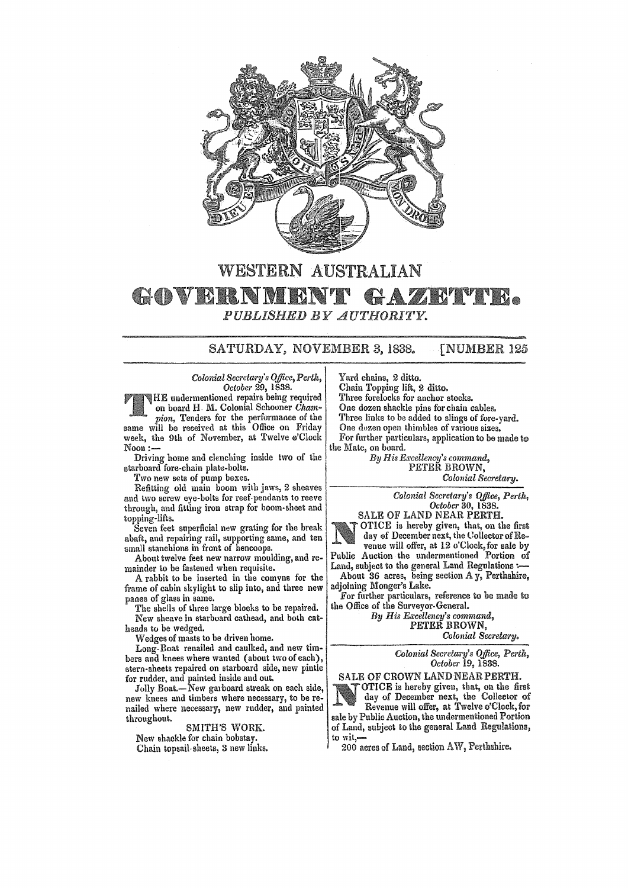

## WESTERN AUSTRALIAN • *PUBLISHED BY AUTHORITY.*

## SATURDAY, NOVEMBER 3, 1838. [NUMBER 125

*Colonial Secretary's Office, Perth, October* 29, 1838.

HE undermentioned repairs being required on board H. M. Colonial Schooner Cham*pion*, Tenders for the performance of the same will be received at this Office on Friday week, the 9th of November, at Twelve e'Clock Noon:-

Driving home and clenching inside two of the starboard fore-chain plate-bolts.

Two new sets of pump bexes.

Refitting old main boom with jaws, 2 sheaves and two screw eye-bolts for reef-pendants to reeve through, and fitting iron strap for boom· sheet and topping-lifts.

Seven feet superficial new grating for the break abaft, and repairing rail, supporting same, and ten small stanchions in front of hencoops.

About twelve feet new narrow moulding, and remainder to be fastened when requisite.

A rabbit to be inserted in the comyns for the frame of cabin skylight to slip into, and three new panes of glass in same.

The shells of three large blocks to be repaired. New sheave in starboard cathead, and bOlh catheads to be wedged.

Wedges of masts to be driven home.

Long-Boat renailed and caulked, and new timbers and knees where wanted (about two of each), stern-sheets repaired on starboard side, new pintle for rudder, and painted inside and out.

Jolly Boat.—New garboard streak on each side, new knees and timbers where necessary, to be renailed where necessary, new rudder, and painted &hroughout.

SMITH'S WORK.

New shackle for chain bobstay. Chain topsail-sheets, 3 new links. Yard chains, 2 ditto.

Chain Topping lift, 2 ditto.

Three forelocks for anchor stocks.

One dozen shackle pins for chain cables. Three links to be added to slings of fore-yard.

One dozen open thimhles of various sizes.

For further particulars, application to be made to the Mate, on board.

*By His Excellency's command,*  PETER BROWN, *Colonial Secretary.* 

*Colonial Secretary's Office, Perth,* 

*October* 30, 1838. SALE OF LAND NEAR PERTH.

OTICE is hereby given, that, on the first day of December next, the Collector of Re-

venue will offer, at 12 o'Clock, for sale by Public Auction the undermentioned Portion of Land, subject to the general Land Regulations :—

About 36 acres, being section Ay, Perthshire, adjoining Monger's Lake.

For further particulars, reference to be made to the Office of the Surveyor-General.

*By His Excellency's command,*  PETER BROWN, *Colonial Secretary.* 

*Colonial Secretary's Office, Perth, October* 19, 1838.

SALE OF CROWN LAND NEAR PERTH. OTICE is hereby given, that, on the first day of December next, the Collector of Revenue will offer, at Twelve o'Clock, for sale by Public Auction, the undermentioned Portion of Land, subject to the general Land Regulations, to wit,-

200 acres of Land, seetion AW, Perthshire.